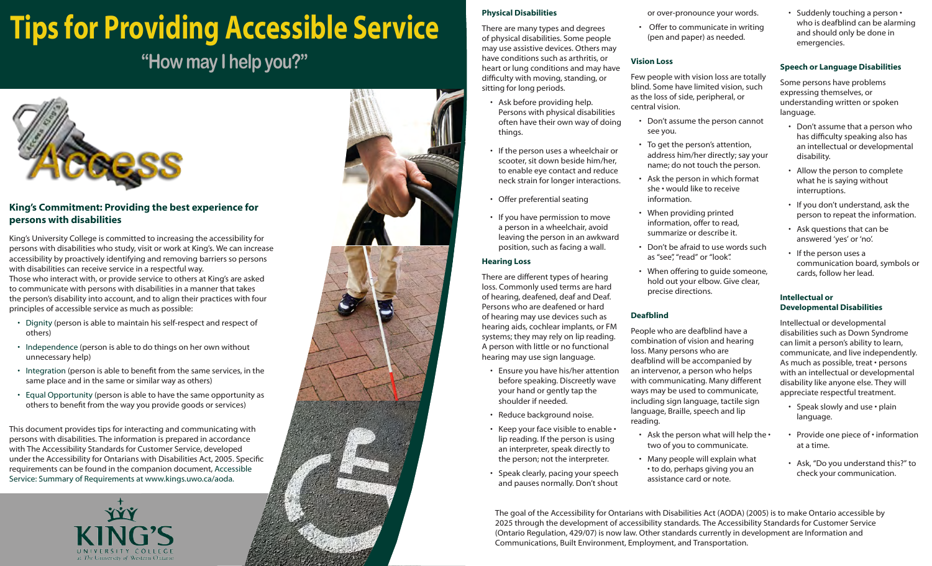## **Tips for Providing Accessible Service**

## **"How may I help you?"**



### **King's Commitment: Providing the best experience for persons with disabilities**

King's University College is committed to increasing the accessibility for persons with disabilities who study, visit or work at King's. We can increase accessibility by proactively identifying and removing barriers so persons with disabilities can receive service in a respectful way. Those who interact with, or provide service to others at King's are asked to communicate with persons with disabilities in a manner that takes the person's disability into account, and to align their practices with four principles of accessible service as much as possible:

- Dignity (person is able to maintain his self-respect and respect of others)
- Independence (person is able to do things on her own without unnecessary help)
- Integration (person is able to benefit from the same services, in the same place and in the same or similar way as others)
- Equal Opportunity (person is able to have the same opportunity as others to benefit from the way you provide goods or services)

This document provides tips for interacting and communicating with persons with disabilities. The information is prepared in accordance with The Accessibility Standards for Customer Service, developed under the Accessibility for Ontarians with Disabilities Act, 2005. Specific requirements can be found in the companion document, Accessible Service: Summary of Requirements at www.kings.uwo.ca/aoda.





#### **Physical Disabilities**

There are many types and degrees of physical disabilities. Some people may use assistive devices. Others may have conditions such as arthritis, or heart or lung conditions and may have difficulty with moving, standing, or sitting for long periods.

- Ask before providing help. Persons with physical disabilities often have their own way of doing things.
- If the person uses a wheelchair or scooter, sit down beside him/her, to enable eye contact and reduce neck strain for longer interactions.
- Offer preferential seating
- If you have permission to move a person in a wheelchair, avoid leaving the person in an awkward position, such as facing a wall.

#### **Hearing Loss**

There are different types of hearing loss. Commonly used terms are hard of hearing, deafened, deaf and Deaf. Persons who are deafened or hard of hearing may use devices such as hearing aids, cochlear implants, or FM systems; they may rely on lip reading. A person with little or no functional hearing may use sign language.

- Ensure you have his/her attention before speaking. Discreetly wave your hand or gently tap the shoulder if needed.
- Reduce background noise.
- Keep your face visible to enable lip reading. If the person is using an interpreter, speak directly to the person; not the interpreter.
- Speak clearly, pacing your speech and pauses normally. Don't shout

or over-pronounce your words.

• Offer to communicate in writing (pen and paper) as needed.

#### **Vision Loss**

Few people with vision loss are totally blind. Some have limited vision, such as the loss of side, peripheral, or central vision.

- Don't assume the person cannot see you.
- To get the person's attention, address him/her directly; say your name; do not touch the person.
- Ask the person in which format she • would like to receive information.
- When providing printed information, offer to read, summarize or describe it.
- Don't be afraid to use words such as "see", "read" or "look".
- When offering to guide someone, hold out your elbow. Give clear, precise directions.

#### **Deafblind**

People who are deafblind have a combination of vision and hearing loss. Many persons who are deafblind will be accompanied by an intervenor, a person who helps with communicating. Many different ways may be used to communicate, including sign language, tactile sign language, Braille, speech and lip reading.

- Ask the person what will help the two of you to communicate.
- Many people will explain what • to do, perhaps giving you an assistance card or note.

• Suddenly touching a person • who is deafblind can be alarming and should only be done in emergencies.

### **Speech or Language Disabilities**

Some persons have problems expressing themselves, or understanding written or spoken language.

- Don't assume that a person who has difficulty speaking also has an intellectual or developmental disability.
- Allow the person to complete what he is saying without interruptions.
- If you don't understand, ask the person to repeat the information.
- Ask questions that can be answered 'yes' or 'no'.
- If the person uses a communication board, symbols or cards, follow her lead.

#### **Intellectual or Developmental Disabilities**

Intellectual or developmental disabilities such as Down Syndrome can limit a person's ability to learn, communicate, and live independently. As much as possible, treat • persons with an intellectual or developmental disability like anyone else. They will appreciate respectful treatment.

- Speak slowly and use plain language.
- Provide one piece of information at a time.
- Ask, "Do you understand this?" to check your communication.

The goal of the Accessibility for Ontarians with Disabilities Act (AODA) (2005) is to make Ontario accessible by 2025 through the development of accessibility standards. The Accessibility Standards for Customer Service (Ontario Regulation, 429/07) is now law. Other standards currently in development are Information and Communications, Built Environment, Employment, and Transportation.